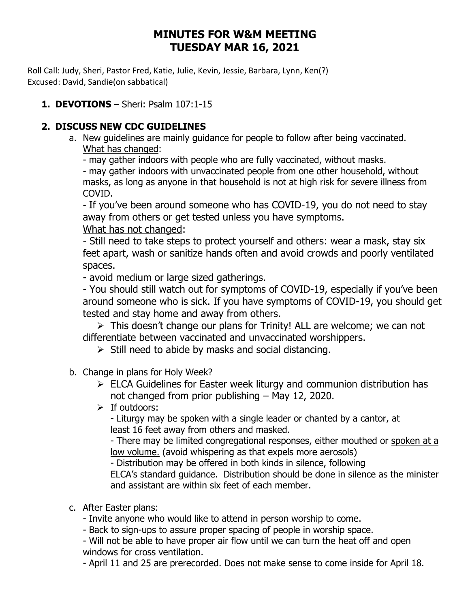# **MINUTES FOR W&M MEETING TUESDAY MAR 16, 2021**

Roll Call: Judy, Sheri, Pastor Fred, Katie, Julie, Kevin, Jessie, Barbara, Lynn, Ken(?) Excused: David, Sandie(on sabbatical)

## **1. DEVOTIONS** – Sheri: Psalm 107:1-15

### **2. DISCUSS NEW CDC GUIDELINES**

a. New guidelines are mainly guidance for people to follow after being vaccinated. What has changed:

- may gather indoors with people who are fully vaccinated, without masks.

- may gather indoors with unvaccinated people from one other household, without masks, as long as anyone in that household is not at high risk for severe illness from COVID.

- If you've been around someone who has COVID-19, you do not need to stay away from others or get tested unless you have symptoms. What has not changed:

- Still need to take steps to protect yourself and others: wear a mask, stay six feet apart, wash or sanitize hands often and avoid crowds and poorly ventilated spaces.

- avoid medium or large sized gatherings.

- You should still watch out for [symptoms of COVID-19](https://www.cdc.gov/coronavirus/2019-ncov/symptoms-testing/symptoms.html), especially if you've been around someone who is sick. If you have symptoms of COVID-19, you should get tested and stay home and away from others.

➢ This doesn't change our plans for Trinity! ALL are welcome; we can not differentiate between vaccinated and unvaccinated worshippers.

- $\triangleright$  Still need to abide by masks and social distancing.
- b. Change in plans for Holy Week?
	- $\triangleright$  ELCA Guidelines for Easter week liturgy and communion distribution has not changed from prior publishing – May 12, 2020.
	- $\triangleright$  If outdoors:

- Liturgy may be spoken with a single leader or chanted by a cantor, at least 16 feet away from others and masked.

- There may be limited congregational responses, either mouthed or spoken at a low volume. (avoid whispering as that expels more aerosols)

- Distribution may be offered in both kinds in silence, following

ELCA's standard guidance. Distribution should be done in silence as the minister and assistant are within six feet of each member.

c. After Easter plans:

- Invite anyone who would like to attend in person worship to come.

- Back to sign-ups to assure proper spacing of people in worship space.

- Will not be able to have proper air flow until we can turn the heat off and open windows for cross ventilation.

- April 11 and 25 are prerecorded. Does not make sense to come inside for April 18.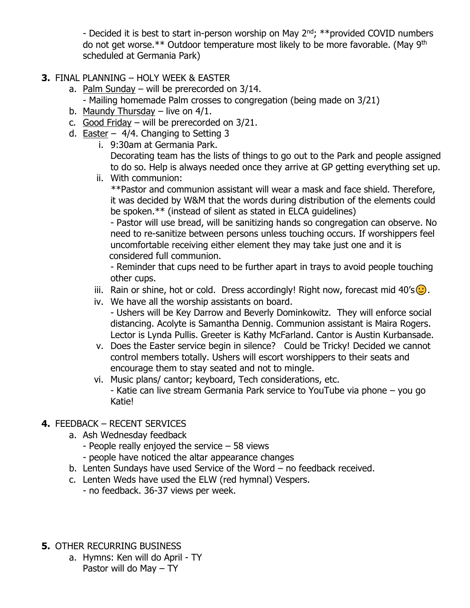- Decided it is best to start in-person worship on May  $2<sup>nd</sup>$ ; \*\*provided COVID numbers do not get worse.\*\* Outdoor temperature most likely to be more favorable. (May 9th scheduled at Germania Park)

- **3.** FINAL PLANNING HOLY WEEK & EASTER
	- a. Palm Sunday will be prerecorded on 3/14.
		- Mailing homemade Palm crosses to congregation (being made on 3/21)
	- b. Maundy Thursday live on 4/1.
	- c. Good Friday will be prerecorded on  $3/21$ .
	- d. **Easter**  $4/4$ . Changing to Setting 3
		- i. 9:30am at Germania Park. Decorating team has the lists of things to go out to the Park and people assigned to do so. Help is always needed once they arrive at GP getting everything set up.
		- ii. With communion:

\*\*Pastor and communion assistant will wear a mask and face shield. Therefore, it was decided by W&M that the words during distribution of the elements could be spoken.\*\* (instead of silent as stated in ELCA guidelines)

- Pastor will use bread, will be sanitizing hands so congregation can observe. No need to re-sanitize between persons unless touching occurs. If worshippers feel uncomfortable receiving either element they may take just one and it is considered full communion.

- Reminder that cups need to be further apart in trays to avoid people touching other cups.

- iii. Rain or shine, hot or cold. Dress accordingly! Right now, forecast mid  $40's$ .
- iv. We have all the worship assistants on board. - Ushers will be Key Darrow and Beverly Dominkowitz. They will enforce social distancing. Acolyte is Samantha Dennig. Communion assistant is Maira Rogers. Lector is Lynda Pullis. Greeter is Kathy McFarland. Cantor is Austin Kurbansade.
- v. Does the Easter service begin in silence? Could be Tricky! Decided we cannot control members totally. Ushers will escort worshippers to their seats and encourage them to stay seated and not to mingle.
- vi. Music plans/ cantor; keyboard, Tech considerations, etc. - Katie can live stream Germania Park service to YouTube via phone – you go Katie!

#### **4.** FEEDBACK – RECENT SERVICES

- a. Ash Wednesday feedback
	- People really enjoyed the service 58 views
	- people have noticed the altar appearance changes
- b. Lenten Sundays have used Service of the Word no feedback received.
- c. Lenten Weds have used the ELW (red hymnal) Vespers.
	- no feedback. 36-37 views per week.
- **5.** OTHER RECURRING BUSINESS
	- a. Hymns: Ken will do April TY Pastor will do May – TY